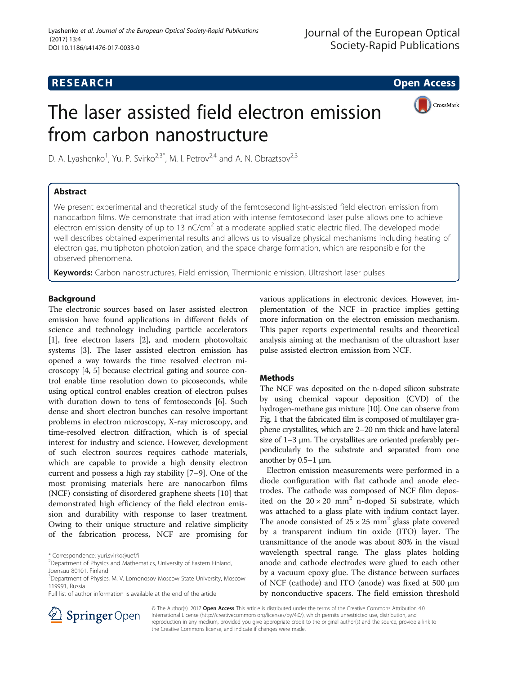## **RESEARCH CHE Open Access**

# The laser assisted field electron emission from carbon nanostructure



D. A. Lyashenko<sup>1</sup>, Yu. P. Svirko<sup>2,3\*</sup>, M. I. Petrov<sup>2,4</sup> and A. N. Obraztsov<sup>2,3</sup>

## Abstract

We present experimental and theoretical study of the femtosecond light-assisted field electron emission from nanocarbon films. We demonstrate that irradiation with intense femtosecond laser pulse allows one to achieve electron emission density of up to 13  $nC/cm<sup>2</sup>$  at a moderate applied static electric filed. The developed model well describes obtained experimental results and allows us to visualize physical mechanisms including heating of electron gas, multiphoton photoionization, and the space charge formation, which are responsible for the observed phenomena.

Keywords: Carbon nanostructures, Field emission, Thermionic emission, Ultrashort laser pulses

## **Background**

The electronic sources based on laser assisted electron emission have found applications in different fields of science and technology including particle accelerators [[1\]](#page-4-0), free electron lasers [\[2](#page-4-0)], and modern photovoltaic systems [\[3\]](#page-4-0). The laser assisted electron emission has opened a way towards the time resolved electron microscopy [\[4](#page-5-0), [5](#page-5-0)] because electrical gating and source control enable time resolution down to picoseconds, while using optical control enables creation of electron pulses with duration down to tens of femtoseconds [[6\]](#page-5-0). Such dense and short electron bunches can resolve important problems in electron microscopy, X-ray microscopy, and time-resolved electron diffraction, which is of special interest for industry and science. However, development of such electron sources requires cathode materials, which are capable to provide a high density electron current and possess a high ray stability [\[7](#page-5-0)–[9\]](#page-5-0). One of the most promising materials here are nanocarbon films (NCF) consisting of disordered graphene sheets [\[10](#page-5-0)] that demonstrated high efficiency of the field electron emission and durability with response to laser treatment. Owing to their unique structure and relative simplicity of the fabrication process, NCF are promising for

\* Correspondence: [yuri.svirko@uef.fi](mailto:yuri.svirko@uef.fi) <sup>2</sup>

Full list of author information is available at the end of the article

various applications in electronic devices. However, implementation of the NCF in practice implies getting more information on the electron emission mechanism. This paper reports experimental results and theoretical analysis aiming at the mechanism of the ultrashort laser pulse assisted electron emission from NCF.

## **Methods**

The NCF was deposited on the n-doped silicon substrate by using chemical vapour deposition (CVD) of the hydrogen-methane gas mixture [\[10\]](#page-5-0). One can observe from Fig. [1](#page-1-0) that the fabricated film is composed of multilayer graphene crystallites, which are 2–20 nm thick and have lateral size of 1–3 μm. The crystallites are oriented preferably perpendicularly to the substrate and separated from one another by 0.5–1 μm.

Electron emission measurements were performed in a diode configuration with flat cathode and anode electrodes. The cathode was composed of NCF film deposited on the  $20 \times 20$  mm<sup>2</sup> n-doped Si substrate, which was attached to a glass plate with indium contact layer. The anode consisted of  $25 \times 25$  mm<sup>2</sup> glass plate covered by a transparent indium tin oxide (ITO) layer. The transmittance of the anode was about 80% in the visual wavelength spectral range. The glass plates holding anode and cathode electrodes were glued to each other by a vacuum epoxy glue. The distance between surfaces of NCF (cathode) and ITO (anode) was fixed at 500 μm by nonconductive spacers. The field emission threshold



© The Author(s). 2017 Open Access This article is distributed under the terms of the Creative Commons Attribution 4.0 International License ([http://creativecommons.org/licenses/by/4.0/\)](http://creativecommons.org/licenses/by/4.0/), which permits unrestricted use, distribution, and reproduction in any medium, provided you give appropriate credit to the original author(s) and the source, provide a link to the Creative Commons license, and indicate if changes were made.

<sup>&</sup>lt;sup>2</sup> Department of Physics and Mathematics, University of Eastern Finland, Joensuu 80101, Finland

<sup>&</sup>lt;sup>3</sup>Department of Physics, M. V. Lomonosov Moscow State University, Moscow 119991, Russia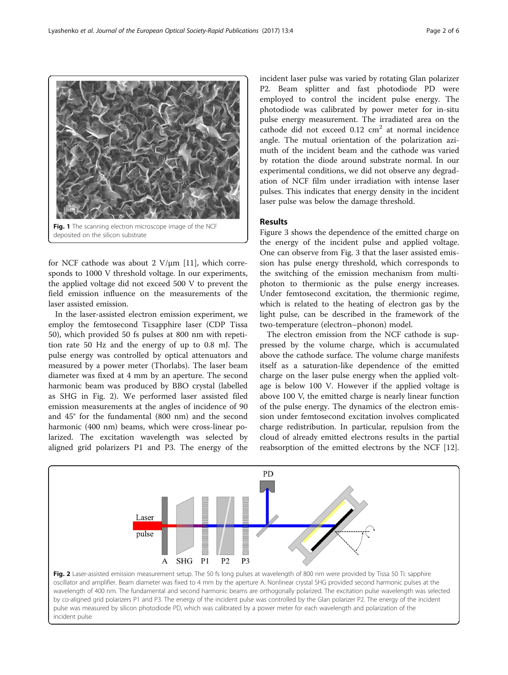for NCF cathode was about 2  $V/\mu$ m [[11\]](#page-5-0), which corresponds to 1000 V threshold voltage. In our experiments, the applied voltage did not exceed 500 V to prevent the field emission influence on the measurements of the laser assisted emission.

<span id="page-1-0"></span>Fig. 1 The scanning electron microscope image of the NCF

deposited on the silicon substrate

In the laser-assisted electron emission experiment, we employ the femtosecond Ti:sapphire laser (CDP Tissa 50), which provided 50 fs pulses at 800 nm with repetition rate 50 Hz and the energy of up to 0.8 mJ. The pulse energy was controlled by optical attenuators and measured by a power meter (Thorlabs). The laser beam diameter was fixed at 4 mm by an aperture. The second harmonic beam was produced by BBO crystal (labelled as SHG in Fig. 2). We performed laser assisted filed emission measurements at the angles of incidence of 90 and 45° for the fundamental (800 nm) and the second harmonic (400 nm) beams, which were cross-linear polarized. The excitation wavelength was selected by aligned grid polarizers P1 and P3. The energy of the

Lase

pulse

incident laser pulse was varied by rotating Glan polarizer P2. Beam splitter and fast photodiode PD were employed to control the incident pulse energy. The photodiode was calibrated by power meter for in-situ pulse energy measurement. The irradiated area on the cathode did not exceed  $0.12 \text{ cm}^2$  at normal incidence angle. The mutual orientation of the polarization azimuth of the incident beam and the cathode was varied by rotation the diode around substrate normal. In our experimental conditions, we did not observe any degradation of NCF film under irradiation with intense laser pulses. This indicates that energy density in the incident laser pulse was below the damage threshold.

## Results

Figure [3](#page-2-0) shows the dependence of the emitted charge on the energy of the incident pulse and applied voltage. One can observe from Fig. [3](#page-2-0) that the laser assisted emission has pulse energy threshold, which corresponds to the switching of the emission mechanism from multiphoton to thermionic as the pulse energy increases. Under femtosecond excitation, the thermionic regime, which is related to the heating of electron gas by the light pulse, can be described in the framework of the two-temperature (electron–phonon) model.

The electron emission from the NCF cathode is suppressed by the volume charge, which is accumulated above the cathode surface. The volume charge manifests itself as a saturation-like dependence of the emitted charge on the laser pulse energy when the applied voltage is below 100 V. However if the applied voltage is above 100 V, the emitted charge is nearly linear function of the pulse energy. The dynamics of the electron emission under femtosecond excitation involves complicated charge redistribution. In particular, repulsion from the cloud of already emitted electrons results in the partial reabsorption of the emitted electrons by the NCF [\[12](#page-5-0)].



P<sub>3</sub>

 $P<sub>2</sub>$ 

 $P<sub>1</sub>$ 

SHG

A

PD

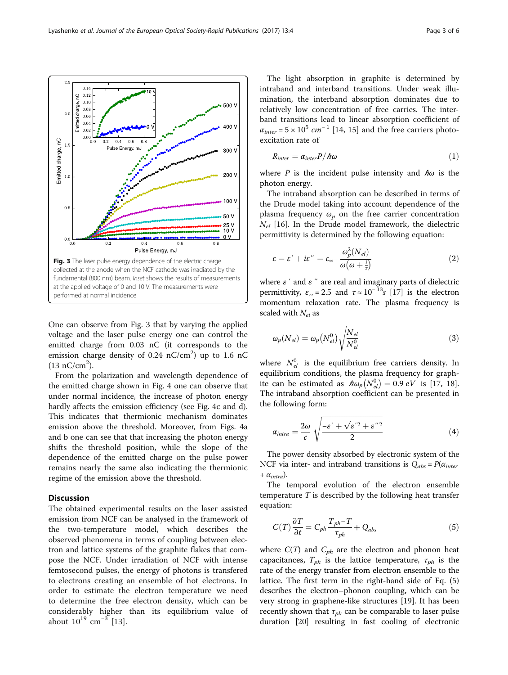<span id="page-2-0"></span>

One can observe from Fig. 3 that by varying the applied voltage and the laser pulse energy one can control the emitted charge from 0.03 nC (it corresponds to the emission charge density of 0.24  $nC/cm<sup>2</sup>$ ) up to 1.6 nC  $(13 nC/cm<sup>2</sup>)$ .

From the polarization and wavelength dependence of the emitted charge shown in Fig. [4](#page-3-0) one can observe that under normal incidence, the increase of photon energy hardly affects the emission efficiency (see Fig. [4c](#page-3-0) and d). This indicates that thermionic mechanism dominates emission above the threshold. Moreover, from Figs. [4](#page-3-0)a and b one can see that that increasing the photon energy shifts the threshold position, while the slope of the dependence of the emitted charge on the pulse power remains nearly the same also indicating the thermionic regime of the emission above the threshold.

## **Discussion**

The obtained experimental results on the laser assisted emission from NCF can be analysed in the framework of the two-temperature model, which describes the observed phenomena in terms of coupling between electron and lattice systems of the graphite flakes that compose the NCF. Under irradiation of NCF with intense femtosecond pulses, the energy of photons is transfered to electrons creating an ensemble of hot electrons. In order to estimate the electron temperature we need to determine the free electron density, which can be considerably higher than its equilibrium value of about  $10^{19}$  cm<sup>-3</sup> [[13\]](#page-5-0).

The light absorption in graphite is determined by intraband and interband transitions. Under weak illumination, the interband absorption dominates due to relatively low concentration of free carries. The interband transitions lead to linear absorption coefficient of  $\alpha_{inter} = 5 \times 10^5$  cm<sup>-1</sup> [[14, 15\]](#page-5-0) and the free carriers photoexcitation rate of

$$
R_{inter} = \alpha_{inter} P / \hbar \omega \tag{1}
$$

where P is the incident pulse intensity and  $\hbar\omega$  is the photon energy.

The intraband absorption can be described in terms of the Drude model taking into account dependence of the plasma frequency  $\omega_n$  on the free carrier concentration  $N_{el}$  [\[16](#page-5-0)]. In the Drude model framework, the dielectric permittivity is determined by the following equation:

$$
\varepsilon = \varepsilon' + i\varepsilon'' = \varepsilon_{\infty} - \frac{\omega_p^2(N_{el})}{\omega(\omega + \frac{i}{r})}
$$
\n(2)

where  $\varepsilon'$  and  $\varepsilon''$  are real and imaginary parts of dielectric permittivity,  $\varepsilon_{\infty} = 2.5$  and  $\tau \approx 10^{-13} s$  [\[17\]](#page-5-0) is the electron momentum relaxation rate. The plasma frequency is scaled with  $N_{el}$  as

$$
\omega_p(N_{el}) = \omega_p(N_{el}^0) \sqrt{\frac{N_{el}}{N_{el}^0}}
$$
\n(3)

where  $N_{el}^0$  is the equilibrium free carriers density. In equilibrium conditions, the plasma frequency for graphite can be estimated as  $\hbar \omega_p (N_{el}^0) = 0.9 \, eV$  is [\[17](#page-5-0), [18](#page-5-0)]. The intraband absorption coefficient can be presented in the following form:

$$
\alpha_{intra} = \frac{2\omega}{c} \sqrt{\frac{-\varepsilon' + \sqrt{\varepsilon'^2 + \varepsilon''^2}}{2}} \tag{4}
$$

The power density absorbed by electronic system of the NCF via inter- and intraband transitions is  $Q_{abs} = P(\alpha_{inter}$ +  $\alpha_{intra}$ ).

The temporal evolution of the electron ensemble temperature  $T$  is described by the following heat transfer equation:

$$
C(T)\frac{\partial T}{\partial t} = C_{ph}\frac{T_{ph} - T}{T_{ph}} + Q_{abs}
$$
\n(5)

where  $C(T)$  and  $C_{ph}$  are the electron and phonon heat capacitances,  $T_{ph}$  is the lattice temperature,  $\tau_{ph}$  is the rate of the energy transfer from electron ensemble to the lattice. The first term in the right-hand side of Eq. (5) describes the electron–phonon coupling, which can be very strong in graphene-like structures [\[19\]](#page-5-0). It has been recently shown that  $\tau_{ph}$  can be comparable to laser pulse duration [\[20](#page-5-0)] resulting in fast cooling of electronic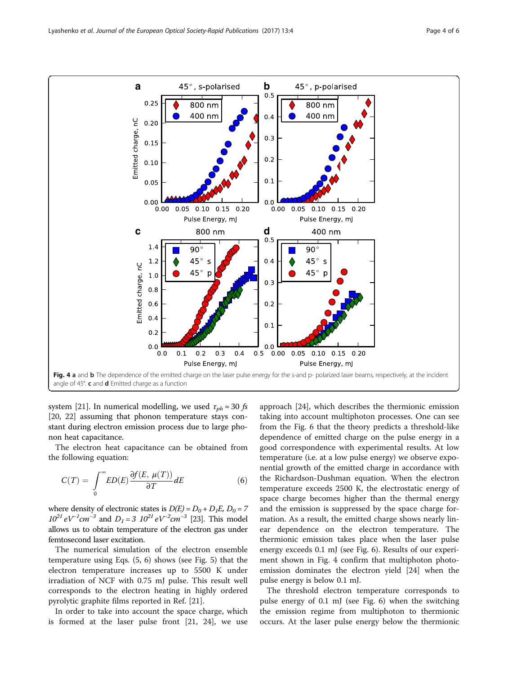<span id="page-3-0"></span>

system [\[21\]](#page-5-0). In numerical modelling, we used  $\tau_{ph} \approx 30$  fs [[20,](#page-5-0) [22](#page-5-0)] assuming that phonon temperature stays constant during electron emission process due to large phonon heat capacitance.

The electron heat capacitance can be obtained from the following equation:

$$
C(T) = \int_{0}^{\infty} ED(E) \frac{\partial f(E, \mu(T))}{\partial T} dE \tag{6}
$$

where density of electronic states is  $D(E)=D_0+D_1E,\,D_0=7$  $10^{21} eV^{-1}$  cm<sup>-3</sup> and  $D_1 = 3 \ 10^{21} eV^{-2}$  cm<sup>-3</sup> [\[23](#page-5-0)]. This model allows us to obtain temperature of the electron gas under femtosecond laser excitation.

The numerical simulation of the electron ensemble temperature using Eqs. ([5,](#page-2-0) 6) shows (see Fig. [5](#page-4-0)) that the electron temperature increases up to 5500 K under irradiation of NCF with 0.75 mJ pulse. This result well corresponds to the electron heating in highly ordered pyrolytic graphite films reported in Ref. [[21](#page-5-0)].

In order to take into account the space charge, which is formed at the laser pulse front [\[21, 24](#page-5-0)], we use approach [\[24](#page-5-0)], which describes the thermionic emission taking into account multiphoton processes. One can see from the Fig. [6](#page-4-0) that the theory predicts a threshold-like dependence of emitted charge on the pulse energy in a good correspondence with experimental results. At low temperature (i.e. at a low pulse energy) we observe exponential growth of the emitted charge in accordance with the Richardson-Dushman equation. When the electron temperature exceeds 2500 K, the electrostatic energy of space charge becomes higher than the thermal energy and the emission is suppressed by the space charge formation. As a result, the emitted charge shows nearly linear dependence on the electron temperature. The thermionic emission takes place when the laser pulse energy exceeds 0.1 mJ (see Fig. [6\)](#page-4-0). Results of our experiment shown in Fig. 4 confirm that multiphoton photoemission dominates the electron yield [\[24](#page-5-0)] when the pulse energy is below 0.1 mJ.

The threshold electron temperature corresponds to pulse energy of 0.1 mJ (see Fig. [6](#page-4-0)) when the switching the emission regime from multiphoton to thermionic occurs. At the laser pulse energy below the thermionic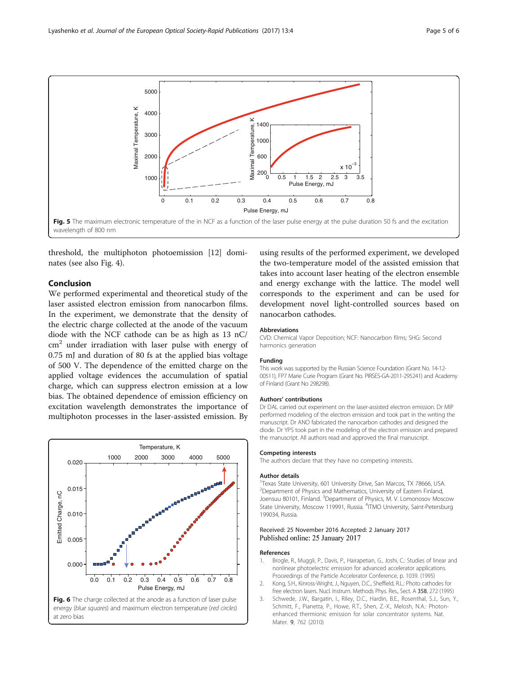<span id="page-4-0"></span>

threshold, the multiphoton photoemission [\[12\]](#page-5-0) dominates (see also Fig. [4\)](#page-3-0).

## Conclusion

We performed experimental and theoretical study of the laser assisted electron emission from nanocarbon films. In the experiment, we demonstrate that the density of the electric charge collected at the anode of the vacuum diode with the NCF cathode can be as high as 13 nC/  $cm<sup>2</sup>$  under irradiation with laser pulse with energy of 0.75 mJ and duration of 80 fs at the applied bias voltage of 500 V. The dependence of the emitted charge on the applied voltage evidences the accumulation of spatial charge, which can suppress electron emission at a low bias. The obtained dependence of emission efficiency on excitation wavelength demonstrates the importance of multiphoton processes in the laser-assisted emission. By





using results of the performed experiment, we developed the two-temperature model of the assisted emission that takes into account laser heating of the electron ensemble and energy exchange with the lattice. The model well corresponds to the experiment and can be used for development novel light-controlled sources based on nanocarbon cathodes.

#### **Abbreviations**

CVD: Chemical Vapor Deposition; NCF: Nanocarbon films; SHG: Second harmonics generation

#### Funding

This work was supported by the Russian Science Foundation (Grant No. 14-12- 00511), FP7 Marie Curie Program (Grant No. PIRSES-GA-2011-295241) and Academy of Finland (Grant No 298298).

#### Authors' contributions

Dr DAL carried out experiment on the laser-assisted electron emission. Dr MIP performed modeling of the electron emission and took part in the writing the manuscript. Dr ANO fabricated the nanocarbon cathodes and designed the diode. Dr YPS took part in the modeling of the electron emission and prepared the manuscript. All authors read and approved the final manuscript.

#### Competing interests

The authors declare that they have no competing interests.

#### Author details

<sup>1</sup> Texas State University, 601 University Drive, San Marcos, TX 78666, USA <sup>2</sup> Department of Physics and Mathematics, University of Eastern Finland, Joensuu 80101, Finland. <sup>3</sup>Department of Physics, M. V. Lomonosov Moscow State University, Moscow 119991, Russia. <sup>4</sup>ITMO University, Saint-Petersburg 199034, Russia.

#### Received: 25 November 2016 Accepted: 2 January 2017 Published online: 25 January 2017

#### References

- 1. Brogle, R., Muggli, P., Davis, P., Hairapetian, G., Joshi, C.: Studies of linear and nonlinear photoelectric emission for advanced accelerator applications. Proceedings of the Particle Accelerator Conference, p. 1039. (1995)
- 2. Kong, S.H., Kinross-Wright, J., Nguyen, D.C., Sheffield, R.L.: Photo cathodes for free electron lasers. Nucl. Instrum. Methods Phys. Res., Sect. A 358, 272 (1995)
- 3. Schwede, J.W., Bargatin, I., Riley, D.C., Hardin, B.E., Rosenthal, S.J., Sun, Y., Schmitt, F., Pianetta, P., Howe, R.T., Shen, Z.-X., Melosh, N.A.: Photonenhanced thermionic emission for solar concentrator systems. Nat. Mater. 9, 762 (2010)